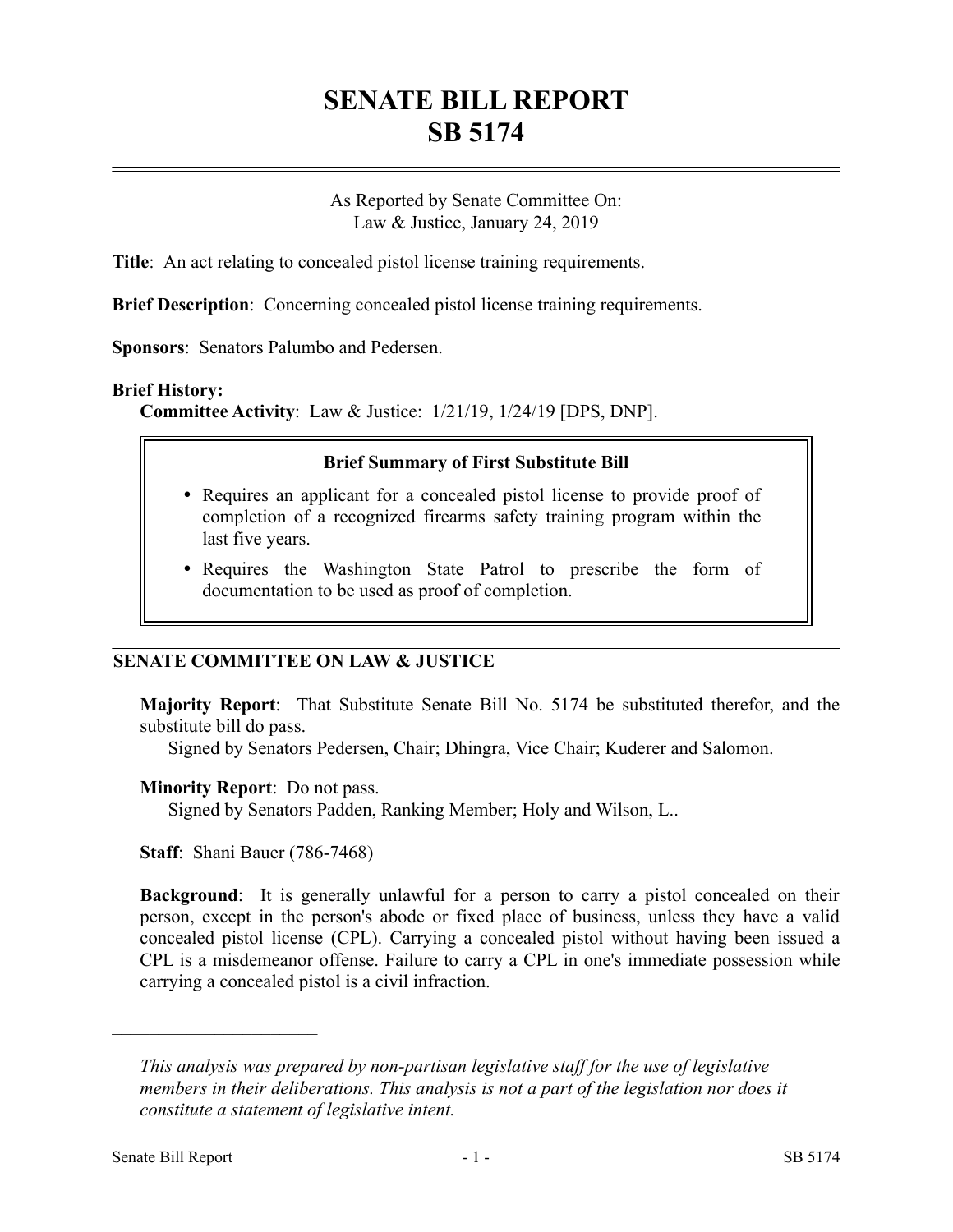# **SENATE BILL REPORT SB 5174**

As Reported by Senate Committee On: Law & Justice, January 24, 2019

**Title**: An act relating to concealed pistol license training requirements.

**Brief Description**: Concerning concealed pistol license training requirements.

**Sponsors**: Senators Palumbo and Pedersen.

### **Brief History:**

**Committee Activity**: Law & Justice: 1/21/19, 1/24/19 [DPS, DNP].

### **Brief Summary of First Substitute Bill**

- Requires an applicant for a concealed pistol license to provide proof of completion of a recognized firearms safety training program within the last five years.
- Requires the Washington State Patrol to prescribe the form of documentation to be used as proof of completion.

## **SENATE COMMITTEE ON LAW & JUSTICE**

**Majority Report**: That Substitute Senate Bill No. 5174 be substituted therefor, and the substitute bill do pass.

Signed by Senators Pedersen, Chair; Dhingra, Vice Chair; Kuderer and Salomon.

### **Minority Report**: Do not pass.

Signed by Senators Padden, Ranking Member; Holy and Wilson, L..

**Staff**: Shani Bauer (786-7468)

**Background**: It is generally unlawful for a person to carry a pistol concealed on their person, except in the person's abode or fixed place of business, unless they have a valid concealed pistol license (CPL). Carrying a concealed pistol without having been issued a CPL is a misdemeanor offense. Failure to carry a CPL in one's immediate possession while carrying a concealed pistol is a civil infraction.

––––––––––––––––––––––

*This analysis was prepared by non-partisan legislative staff for the use of legislative members in their deliberations. This analysis is not a part of the legislation nor does it constitute a statement of legislative intent.*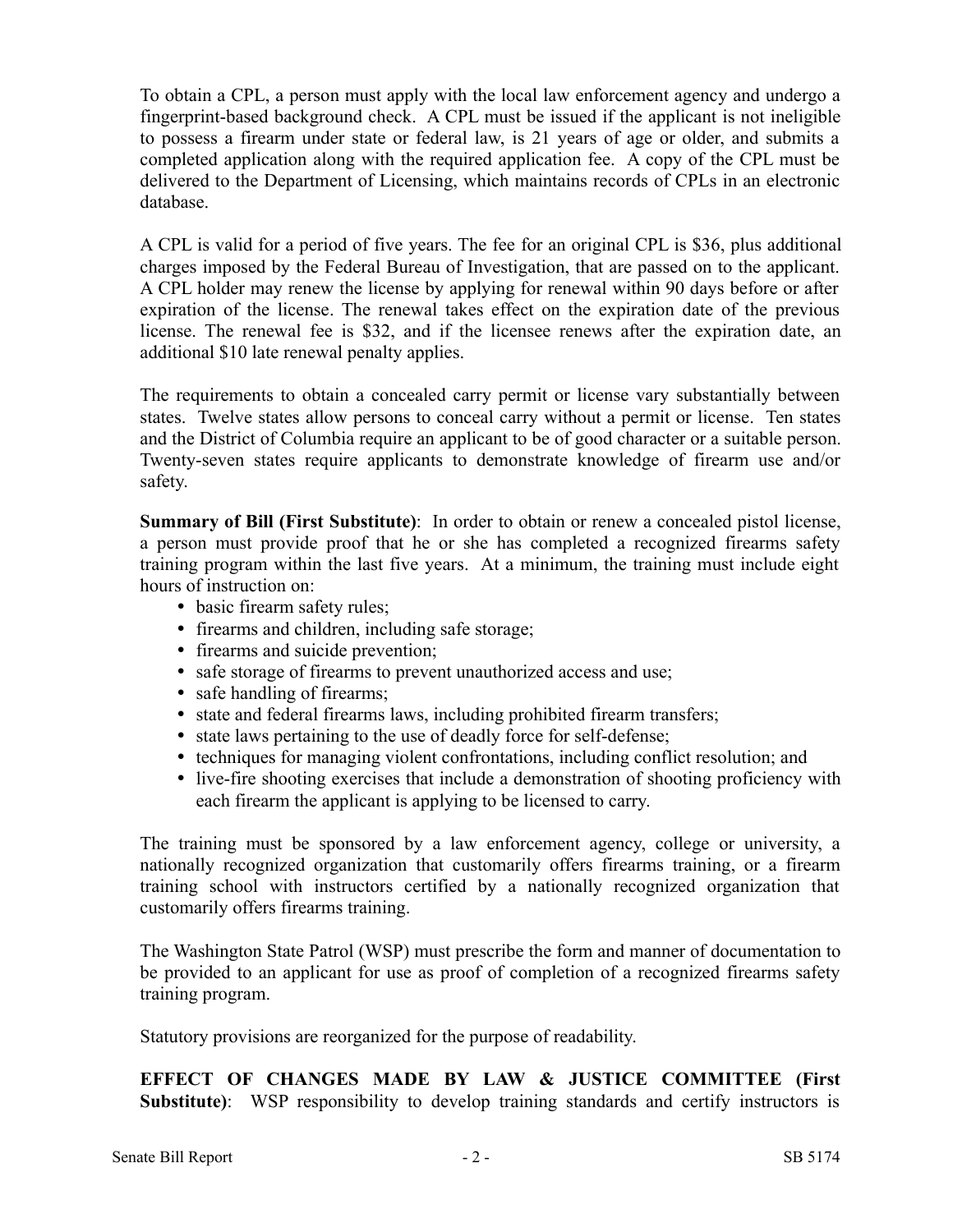To obtain a CPL, a person must apply with the local law enforcement agency and undergo a fingerprint-based background check. A CPL must be issued if the applicant is not ineligible to possess a firearm under state or federal law, is 21 years of age or older, and submits a completed application along with the required application fee. A copy of the CPL must be delivered to the Department of Licensing, which maintains records of CPLs in an electronic database.

A CPL is valid for a period of five years. The fee for an original CPL is \$36, plus additional charges imposed by the Federal Bureau of Investigation, that are passed on to the applicant. A CPL holder may renew the license by applying for renewal within 90 days before or after expiration of the license. The renewal takes effect on the expiration date of the previous license. The renewal fee is \$32, and if the licensee renews after the expiration date, an additional \$10 late renewal penalty applies.

The requirements to obtain a concealed carry permit or license vary substantially between states. Twelve states allow persons to conceal carry without a permit or license. Ten states and the District of Columbia require an applicant to be of good character or a suitable person. Twenty-seven states require applicants to demonstrate knowledge of firearm use and/or safety.

**Summary of Bill (First Substitute)**: In order to obtain or renew a concealed pistol license, a person must provide proof that he or she has completed a recognized firearms safety training program within the last five years. At a minimum, the training must include eight hours of instruction on:

- basic firearm safety rules;
- firearms and children, including safe storage;
- firearms and suicide prevention;
- safe storage of firearms to prevent unauthorized access and use;
- safe handling of firearms;
- state and federal firearms laws, including prohibited firearm transfers;
- state laws pertaining to the use of deadly force for self-defense;
- techniques for managing violent confrontations, including conflict resolution; and
- live-fire shooting exercises that include a demonstration of shooting proficiency with each firearm the applicant is applying to be licensed to carry.

The training must be sponsored by a law enforcement agency, college or university, a nationally recognized organization that customarily offers firearms training, or a firearm training school with instructors certified by a nationally recognized organization that customarily offers firearms training.

The Washington State Patrol (WSP) must prescribe the form and manner of documentation to be provided to an applicant for use as proof of completion of a recognized firearms safety training program.

Statutory provisions are reorganized for the purpose of readability.

**EFFECT OF CHANGES MADE BY LAW & JUSTICE COMMITTEE (First Substitute)**: WSP responsibility to develop training standards and certify instructors is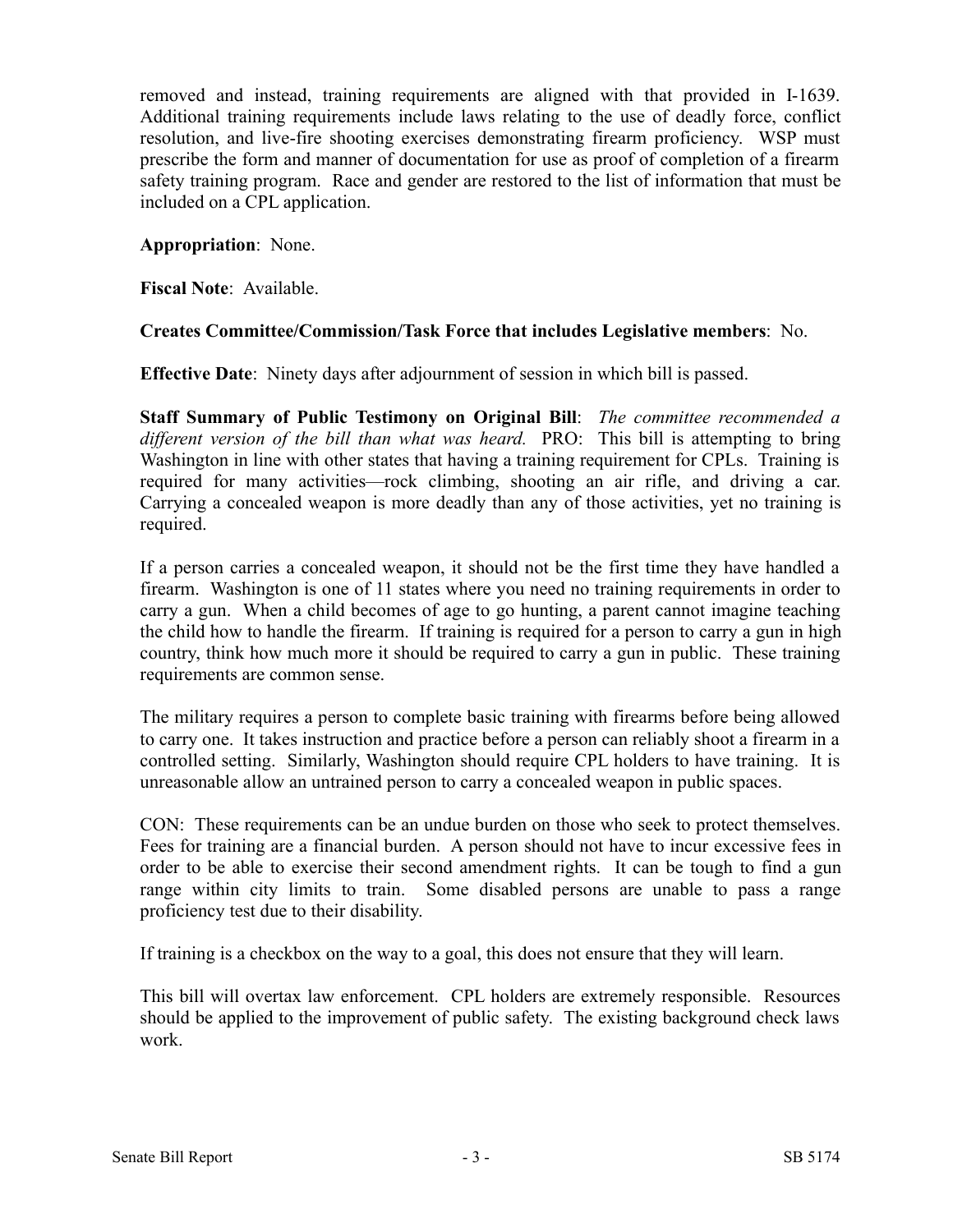removed and instead, training requirements are aligned with that provided in I-1639. Additional training requirements include laws relating to the use of deadly force, conflict resolution, and live-fire shooting exercises demonstrating firearm proficiency. WSP must prescribe the form and manner of documentation for use as proof of completion of a firearm safety training program. Race and gender are restored to the list of information that must be included on a CPL application.

## **Appropriation**: None.

**Fiscal Note**: Available.

## **Creates Committee/Commission/Task Force that includes Legislative members**: No.

**Effective Date**: Ninety days after adjournment of session in which bill is passed.

**Staff Summary of Public Testimony on Original Bill**: *The committee recommended a different version of the bill than what was heard.* PRO: This bill is attempting to bring Washington in line with other states that having a training requirement for CPLs. Training is required for many activities—rock climbing, shooting an air rifle, and driving a car. Carrying a concealed weapon is more deadly than any of those activities, yet no training is required.

If a person carries a concealed weapon, it should not be the first time they have handled a firearm. Washington is one of 11 states where you need no training requirements in order to carry a gun. When a child becomes of age to go hunting, a parent cannot imagine teaching the child how to handle the firearm. If training is required for a person to carry a gun in high country, think how much more it should be required to carry a gun in public. These training requirements are common sense.

The military requires a person to complete basic training with firearms before being allowed to carry one. It takes instruction and practice before a person can reliably shoot a firearm in a controlled setting. Similarly, Washington should require CPL holders to have training. It is unreasonable allow an untrained person to carry a concealed weapon in public spaces.

CON: These requirements can be an undue burden on those who seek to protect themselves. Fees for training are a financial burden. A person should not have to incur excessive fees in order to be able to exercise their second amendment rights. It can be tough to find a gun range within city limits to train. Some disabled persons are unable to pass a range proficiency test due to their disability.

If training is a checkbox on the way to a goal, this does not ensure that they will learn.

This bill will overtax law enforcement. CPL holders are extremely responsible. Resources should be applied to the improvement of public safety. The existing background check laws work.